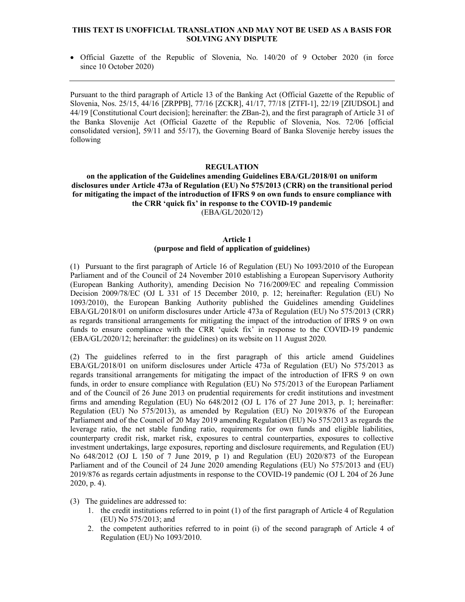### THIS TEXT IS UNOFFICIAL TRANSLATION AND MAY NOT BE USED AS A BASIS FOR SOLVING ANY DISPUTE

 Official Gazette of the Republic of Slovenia, No. 140/20 of 9 October 2020 (in force since 10 October 2020)

Pursuant to the third paragraph of Article 13 of the Banking Act (Official Gazette of the Republic of Slovenia, Nos. 25/15, 44/16 [ZRPPB], 77/16 [ZCKR], 41/17, 77/18 [ZTFI-1], 22/19 [ZIUDSOL] and 44/19 [Constitutional Court decision]; hereinafter: the ZBan-2), and the first paragraph of Article 31 of the Banka Slovenije Act (Official Gazette of the Republic of Slovenia, Nos. 72/06 [official consolidated version], 59/11 and 55/17), the Governing Board of Banka Slovenije hereby issues the following

## REGULATION

### on the application of the Guidelines amending Guidelines EBA/GL/2018/01 on uniform disclosures under Article 473a of Regulation (EU) No 575/2013 (CRR) on the transitional period for mitigating the impact of the introduction of IFRS 9 on own funds to ensure compliance with the CRR 'quick fix' in response to the COVID-19 pandemic (EBA/GL/2020/12)

#### Article 1 (purpose and field of application of guidelines)

(1) Pursuant to the first paragraph of Article 16 of Regulation (EU) No 1093/2010 of the European Parliament and of the Council of 24 November 2010 establishing a European Supervisory Authority (European Banking Authority), amending Decision No 716/2009/EC and repealing Commission Decision 2009/78/EC (OJ L 331 of 15 December 2010, p. 12; hereinafter: Regulation (EU) No 1093/2010), the European Banking Authority published the Guidelines amending Guidelines EBA/GL/2018/01 on uniform disclosures under Article 473a of Regulation (EU) No 575/2013 (CRR) as regards transitional arrangements for mitigating the impact of the introduction of IFRS 9 on own funds to ensure compliance with the CRR 'quick fix' in response to the COVID-19 pandemic (EBA/GL/2020/12; hereinafter: the guidelines) on its website on 11 August 2020.

(2) The guidelines referred to in the first paragraph of this article amend Guidelines EBA/GL/2018/01 on uniform disclosures under Article 473a of Regulation (EU) No 575/2013 as regards transitional arrangements for mitigating the impact of the introduction of IFRS 9 on own funds, in order to ensure compliance with Regulation (EU) No 575/2013 of the European Parliament and of the Council of 26 June 2013 on prudential requirements for credit institutions and investment firms and amending Regulation (EU) No 648/2012 (OJ L 176 of 27 June 2013, p. 1; hereinafter: Regulation (EU) No 575/2013), as amended by Regulation (EU) No 2019/876 of the European Parliament and of the Council of 20 May 2019 amending Regulation (EU) No 575/2013 as regards the leverage ratio, the net stable funding ratio, requirements for own funds and eligible liabilities, counterparty credit risk, market risk, exposures to central counterparties, exposures to collective investment undertakings, large exposures, reporting and disclosure requirements, and Regulation (EU) No 648/2012 (OJ L 150 of 7 June 2019, p 1) and Regulation (EU) 2020/873 of the European Parliament and of the Council of 24 June 2020 amending Regulations (EU) No 575/2013 and (EU) 2019/876 as regards certain adjustments in response to the COVID-19 pandemic (OJ L 204 of 26 June 2020, p. 4).

- (3) The guidelines are addressed to:
	- 1. the credit institutions referred to in point (1) of the first paragraph of Article 4 of Regulation (EU) No 575/2013; and
	- 2. the competent authorities referred to in point (i) of the second paragraph of Article 4 of Regulation (EU) No 1093/2010.